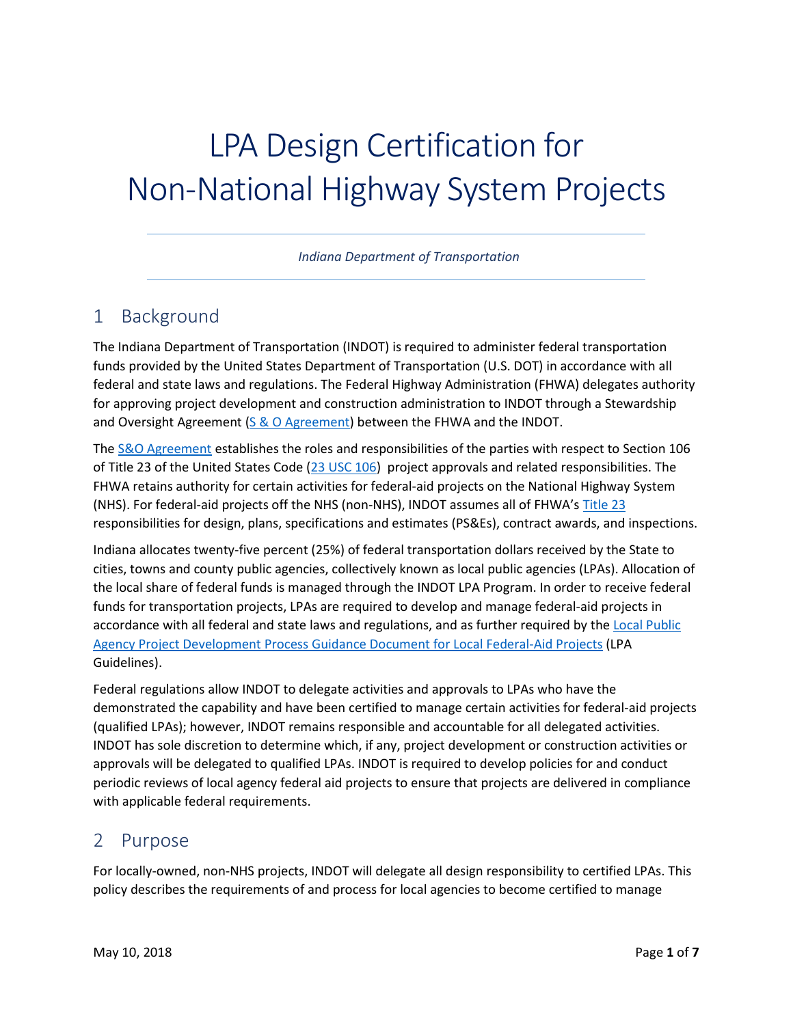# LPA Design Certification for Non-National Highway System Projects

*Indiana Department of Transportation*

## 1 Background

The Indiana Department of Transportation (INDOT) is required to administer federal transportation funds provided by the United States Department of Transportation (U.S. DOT) in accordance with all federal and state laws and regulations. The Federal Highway Administration (FHWA) delegates authority for approving project development and construction administration to INDOT through a Stewardship and Oversight Agreement [\(S & O Agreement\)](https://www.fhwa.dot.gov/federalaid/stewardship/agreements/in.pdf) between the FHWA and the INDOT.

The [S&O Agreement](https://www.fhwa.dot.gov/federalaid/stewardship/agreements/in.pdf) establishes the roles and responsibilities of the parties with respect to Section 106 of Title 23 of the United States Code [\(23 USC 106\)](https://www.gpo.gov/fdsys/pkg/USCODE-2010-title23/html/USCODE-2010-title23-chap1-sec106.htm) project approvals and related responsibilities. The FHWA retains authority for certain activities for federal-aid projects on the National Highway System (NHS). For federal-aid projects off the NHS (non-NHS), INDOT assumes all of FHWA's [Title 23](https://www.gpo.gov/fdsys/pkg/USCODE-2010-title23/html/USCODE-2010-title23-chap1-sec106.htm) responsibilities for design, plans, specifications and estimates (PS&Es), contract awards, and inspections.

Indiana allocates twenty-five percent (25%) of federal transportation dollars received by the State to cities, towns and county public agencies, collectively known as local public agencies (LPAs). Allocation of the local share of federal funds is managed through the INDOT LPA Program. In order to receive federal funds for transportation projects, LPAs are required to develop and manage federal-aid projects in accordance with all federal and state laws and regulations, and as further required by the Local Public [Agency Project Development Process Guidance Document for Local Federal-Aid Projects](http://www.in.gov/indot/files/LPA%20Guidance%20Document.pdf) (LPA Guidelines).

Federal regulations allow INDOT to delegate activities and approvals to LPAs who have the demonstrated the capability and have been certified to manage certain activities for federal-aid projects (qualified LPAs); however, INDOT remains responsible and accountable for all delegated activities. INDOT has sole discretion to determine which, if any, project development or construction activities or approvals will be delegated to qualified LPAs. INDOT is required to develop policies for and conduct periodic reviews of local agency federal aid projects to ensure that projects are delivered in compliance with applicable federal requirements.

## 2 Purpose

For locally-owned, non-NHS projects, INDOT will delegate all design responsibility to certified LPAs. This policy describes the requirements of and process for local agencies to become certified to manage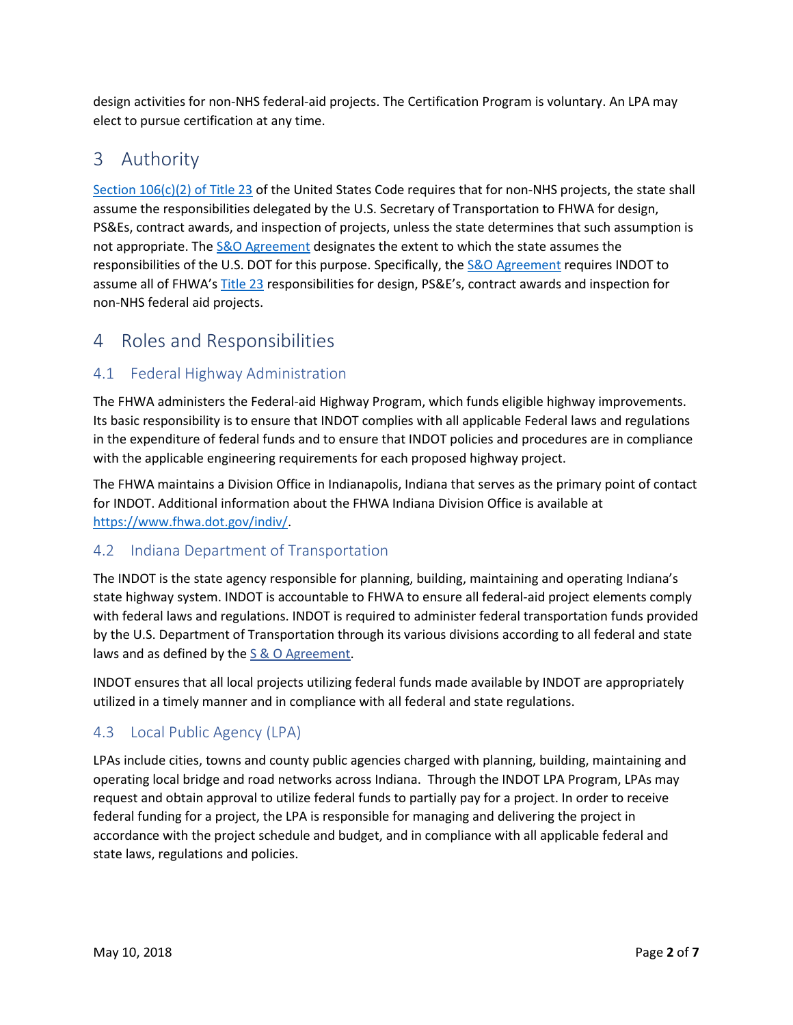design activities for non-NHS federal-aid projects. The Certification Program is voluntary. An LPA may elect to pursue certification at any time.

# 3 Authority

[Section 106\(c\)\(2\) of Title 23](https://www.gpo.gov/fdsys/pkg/USCODE-2010-title23/html/USCODE-2010-title23-chap1-sec106.htm) of the United States Code requires that for non-NHS projects, the state shall assume the responsibilities delegated by the U.S. Secretary of Transportation to FHWA for design, PS&Es, contract awards, and inspection of projects, unless the state determines that such assumption is not appropriate. The [S&O Agreement](https://www.fhwa.dot.gov/federalaid/stewardship/agreements/in.pdf) designates the extent to which the state assumes the responsibilities of the U.S. DOT for this purpose. Specifically, the [S&O Agreement](https://www.fhwa.dot.gov/federalaid/stewardship/agreements/in.pdf) requires INDOT to assume all of FHWA'[s Title 23](https://www.gpo.gov/fdsys/pkg/USCODE-2010-title23/html/USCODE-2010-title23-chap1-sec106.htm) responsibilities for design, PS&E's, contract awards and inspection for non-NHS federal aid projects.

## 4 Roles and Responsibilities

## 4.1 Federal Highway Administration

The FHWA administers the Federal-aid Highway Program, which funds eligible highway improvements. Its basic responsibility is to ensure that INDOT complies with all applicable Federal laws and regulations in the expenditure of federal funds and to ensure that INDOT policies and procedures are in compliance with the applicable engineering requirements for each proposed highway project.

The FHWA maintains a Division Office in Indianapolis, Indiana that serves as the primary point of contact for INDOT. Additional information about the FHWA Indiana Division Office is available at [https://www.fhwa.dot.gov/indiv/.](https://www.fhwa.dot.gov/indiv/)

#### 4.2 Indiana Department of Transportation

The INDOT is the state agency responsible for planning, building, maintaining and operating Indiana's state highway system. INDOT is accountable to FHWA to ensure all federal-aid project elements comply with federal laws and regulations. INDOT is required to administer federal transportation funds provided by the U.S. Department of Transportation through its various divisions according to all federal and state laws and as defined by the S & O [Agreement.](https://www.fhwa.dot.gov/federalaid/stewardship/agreements/in.pdf)

INDOT ensures that all local projects utilizing federal funds made available by INDOT are appropriately utilized in a timely manner and in compliance with all federal and state regulations.

#### 4.3 Local Public Agency (LPA)

LPAs include cities, towns and county public agencies charged with planning, building, maintaining and operating local bridge and road networks across Indiana. Through the INDOT LPA Program, LPAs may request and obtain approval to utilize federal funds to partially pay for a project. In order to receive federal funding for a project, the LPA is responsible for managing and delivering the project in accordance with the project schedule and budget, and in compliance with all applicable federal and state laws, regulations and policies.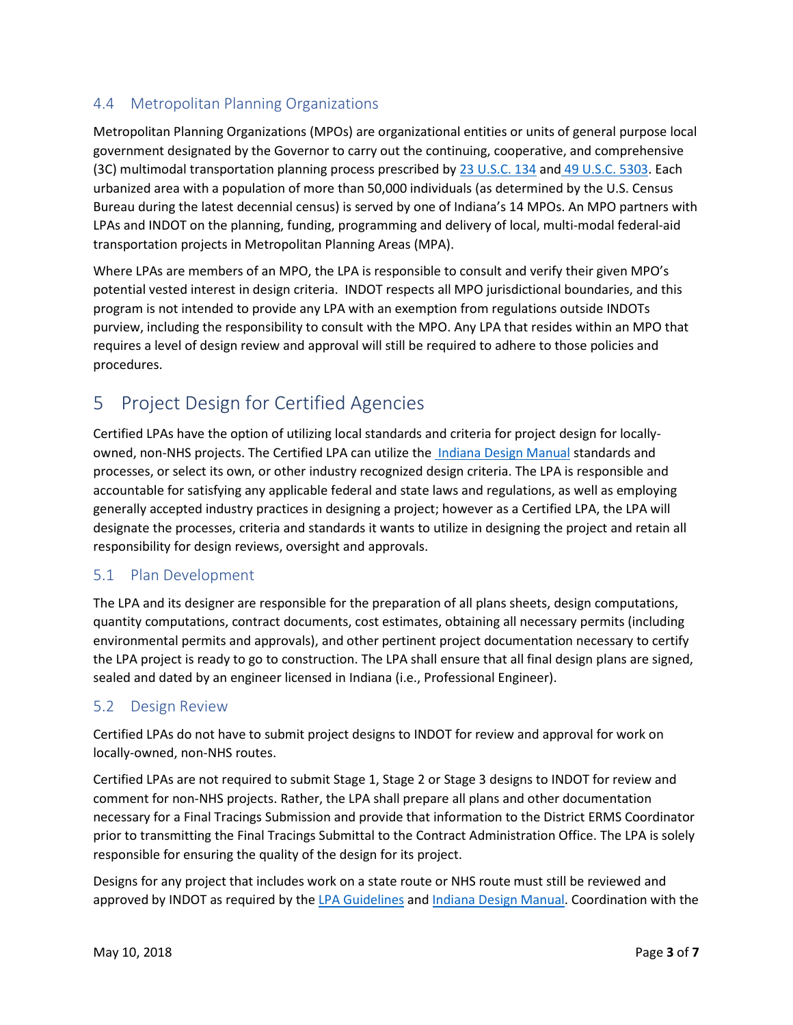#### 4.4 Metropolitan Planning Organizations

Metropolitan Planning Organizations (MPOs) are organizational entities or units of general purpose local government designated by the Governor to carry out the continuing, cooperative, and comprehensive (3C) multimodal transportation planning process prescribed by [23 U.S.C. 134](https://www.gpo.gov/fdsys/pkg/USCODE-2016-title23/pdf/USCODE-2016-title23-chap1-sec134.pdf) and [49 U.S.C. 5303.](https://www.gpo.gov/fdsys/pkg/USCODE-2016-title49/pdf/USCODE-2016-title49-subtitleIII-chap53.pdf) Each urbanized area with a population of more than 50,000 individuals (as determined by the U.S. Census Bureau during the latest decennial census) is served by one of Indiana's 14 MPOs. An MPO partners with LPAs and INDOT on the planning, funding, programming and delivery of local, multi-modal federal-aid transportation projects in Metropolitan Planning Areas (MPA).

Where LPAs are members of an MPO, the LPA is responsible to consult and verify their given MPO's potential vested interest in design criteria. INDOT respects all MPO jurisdictional boundaries, and this program is not intended to provide any LPA with an exemption from regulations outside INDOTs purview, including the responsibility to consult with the MPO. Any LPA that resides within an MPO that requires a level of design review and approval will still be required to adhere to those policies and procedures.

# 5 Project Design for Certified Agencies

Certified LPAs have the option of utilizing local standards and criteria for project design for locallyowned, non-NHS projects. The Certified LPA can utilize the [Indiana Design Manual](http://www.in.gov/indot/design_manual/) standards and processes, or select its own, or other industry recognized design criteria. The LPA is responsible and accountable for satisfying any applicable federal and state laws and regulations, as well as employing generally accepted industry practices in designing a project; however as a Certified LPA, the LPA will designate the processes, criteria and standards it wants to utilize in designing the project and retain all responsibility for design reviews, oversight and approvals.

#### 5.1 Plan Development

The LPA and its designer are responsible for the preparation of all plans sheets, design computations, quantity computations, contract documents, cost estimates, obtaining all necessary permits (including environmental permits and approvals), and other pertinent project documentation necessary to certify the LPA project is ready to go to construction. The LPA shall ensure that all final design plans are signed, sealed and dated by an engineer licensed in Indiana (i.e., Professional Engineer).

#### 5.2 Design Review

Certified LPAs do not have to submit project designs to INDOT for review and approval for work on locally-owned, non-NHS routes.

Certified LPAs are not required to submit Stage 1, Stage 2 or Stage 3 designs to INDOT for review and comment for non-NHS projects. Rather, the LPA shall prepare all plans and other documentation necessary for a Final Tracings Submission and provide that information to the District ERMS Coordinator prior to transmitting the Final Tracings Submittal to the Contract Administration Office. The LPA is solely responsible for ensuring the quality of the design for its project.

Designs for any project that includes work on a state route or NHS route must still be reviewed and approved by INDOT as required by the [LPA Guidelines](http://www.in.gov/indot/files/LPA%20Guidance%20Document.pdf) and [Indiana Design Manual.](http://www.in.gov/indot/design_manual/) Coordination with the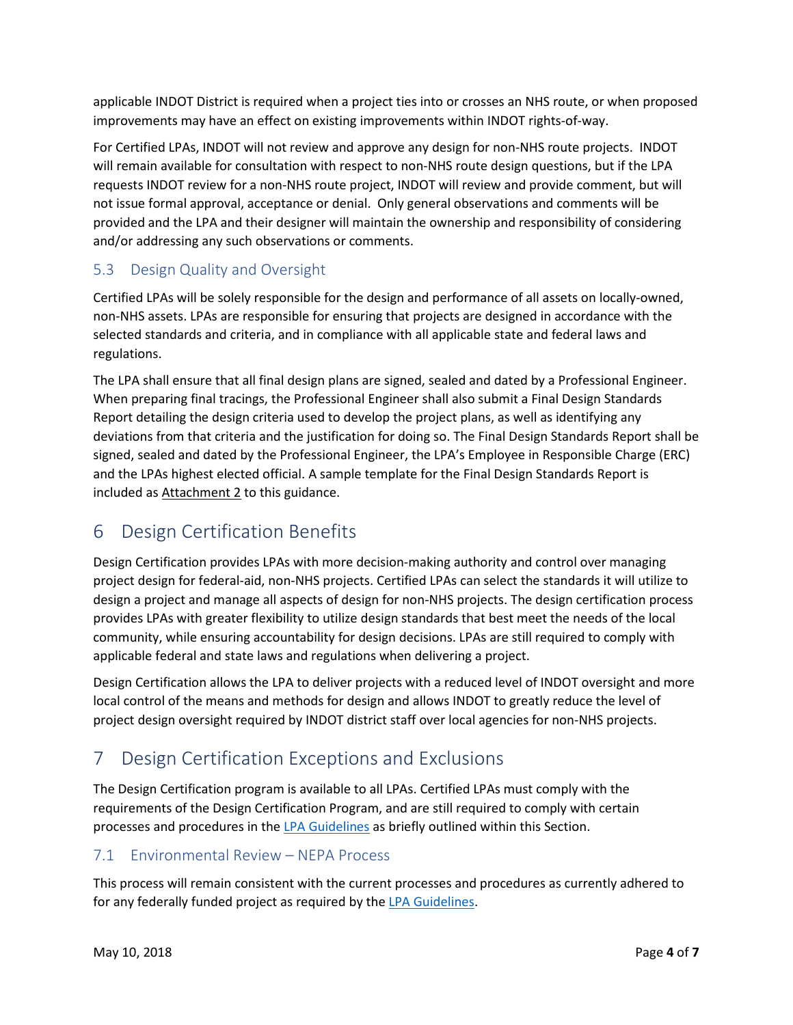applicable INDOT District is required when a project ties into or crosses an NHS route, or when proposed improvements may have an effect on existing improvements within INDOT rights-of-way.

For Certified LPAs, INDOT will not review and approve any design for non-NHS route projects. INDOT will remain available for consultation with respect to non-NHS route design questions, but if the LPA requests INDOT review for a non-NHS route project, INDOT will review and provide comment, but will not issue formal approval, acceptance or denial. Only general observations and comments will be provided and the LPA and their designer will maintain the ownership and responsibility of considering and/or addressing any such observations or comments.

#### 5.3 Design Quality and Oversight

Certified LPAs will be solely responsible for the design and performance of all assets on locally-owned, non-NHS assets. LPAs are responsible for ensuring that projects are designed in accordance with the selected standards and criteria, and in compliance with all applicable state and federal laws and regulations.

The LPA shall ensure that all final design plans are signed, sealed and dated by a Professional Engineer. When preparing final tracings, the Professional Engineer shall also submit a Final Design Standards Report detailing the design criteria used to develop the project plans, as well as identifying any deviations from that criteria and the justification for doing so. The Final Design Standards Report shall be signed, sealed and dated by the Professional Engineer, the LPA's Employee in Responsible Charge (ERC) and the LPAs highest elected official. A sample template for the Final Design Standards Report is included as Attachment 2 to this guidance.

## 6 Design Certification Benefits

Design Certification provides LPAs with more decision-making authority and control over managing project design for federal-aid, non-NHS projects. Certified LPAs can select the standards it will utilize to design a project and manage all aspects of design for non-NHS projects. The design certification process provides LPAs with greater flexibility to utilize design standards that best meet the needs of the local community, while ensuring accountability for design decisions. LPAs are still required to comply with applicable federal and state laws and regulations when delivering a project.

Design Certification allows the LPA to deliver projects with a reduced level of INDOT oversight and more local control of the means and methods for design and allows INDOT to greatly reduce the level of project design oversight required by INDOT district staff over local agencies for non-NHS projects.

# 7 Design Certification Exceptions and Exclusions

The Design Certification program is available to all LPAs. Certified LPAs must comply with the requirements of the Design Certification Program, and are still required to comply with certain processes and procedures in the [LPA Guidelines](http://www.in.gov/indot/files/LPA%20Guidance%20Document.pdf) as briefly outlined within this Section.

#### 7.1 Environmental Review – NEPA Process

This process will remain consistent with the current processes and procedures as currently adhered to for any federally funded project as required by the [LPA Guidelines.](http://www.in.gov/indot/files/LPA%20Guidance%20Document.pdf)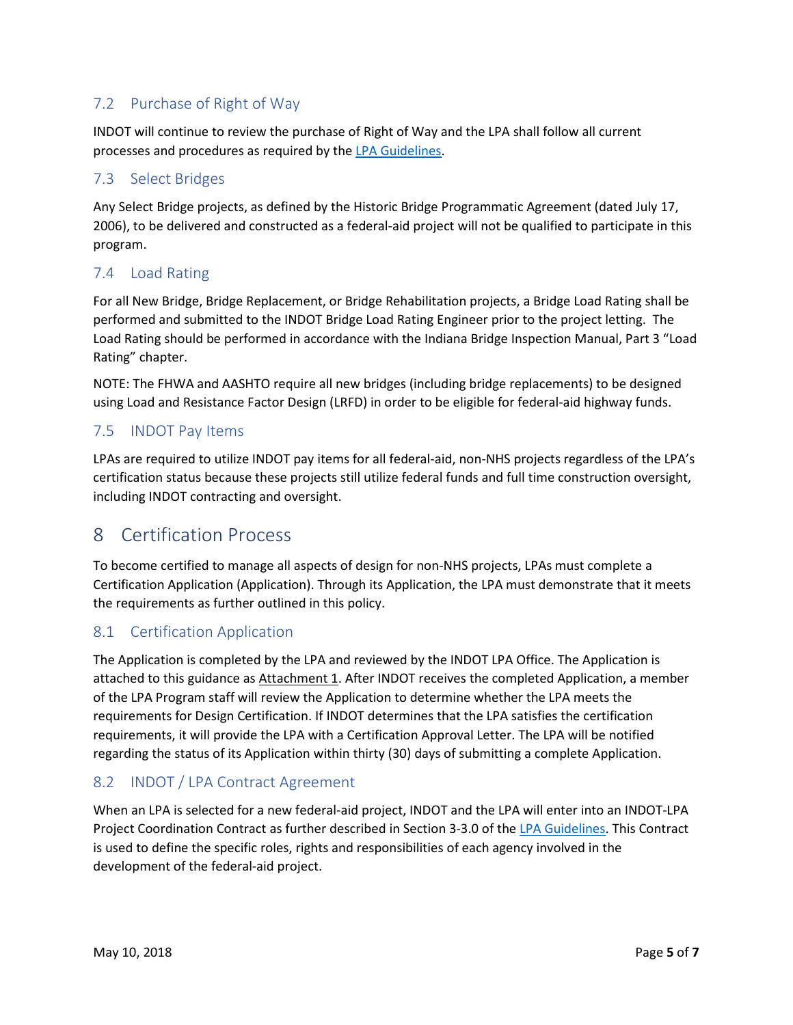## 7.2 Purchase of Right of Way

INDOT will continue to review the purchase of Right of Way and the LPA shall follow all current processes and procedures as required by th[e LPA Guidelines.](http://www.in.gov/indot/files/LPA%20Guidance%20Document.pdf)

#### 7.3 Select Bridges

Any Select Bridge projects, as defined by the Historic Bridge Programmatic Agreement (dated July 17, 2006), to be delivered and constructed as a federal-aid project will not be qualified to participate in this program.

#### 7.4 Load Rating

For all New Bridge, Bridge Replacement, or Bridge Rehabilitation projects, a Bridge Load Rating shall be performed and submitted to the INDOT Bridge Load Rating Engineer prior to the project letting. The Load Rating should be performed in accordance with the Indiana Bridge Inspection Manual, Part 3 "Load Rating" chapter.

NOTE: The FHWA and AASHTO require all new bridges (including bridge replacements) to be designed using Load and Resistance Factor Design (LRFD) in order to be eligible for federal-aid highway funds.

#### 7.5 INDOT Pay Items

LPAs are required to utilize INDOT pay items for all federal-aid, non-NHS projects regardless of the LPA's certification status because these projects still utilize federal funds and full time construction oversight, including INDOT contracting and oversight.

## 8 Certification Process

To become certified to manage all aspects of design for non-NHS projects, LPAs must complete a Certification Application (Application). Through its Application, the LPA must demonstrate that it meets the requirements as further outlined in this policy.

#### 8.1 Certification Application

The Application is completed by the LPA and reviewed by the INDOT LPA Office. The Application is attached to this guidance as Attachment 1. After INDOT receives the completed Application, a member of the LPA Program staff will review the Application to determine whether the LPA meets the requirements for Design Certification. If INDOT determines that the LPA satisfies the certification requirements, it will provide the LPA with a Certification Approval Letter. The LPA will be notified regarding the status of its Application within thirty (30) days of submitting a complete Application.

#### 8.2 INDOT / LPA Contract Agreement

When an LPA is selected for a new federal-aid project, INDOT and the LPA will enter into an INDOT-LPA Project Coordination Contract as further described in Section 3-3.0 of the [LPA Guidelines.](http://www.in.gov/indot/files/LPA%20Guidance%20Document.pdf) This Contract is used to define the specific roles, rights and responsibilities of each agency involved in the development of the federal-aid project.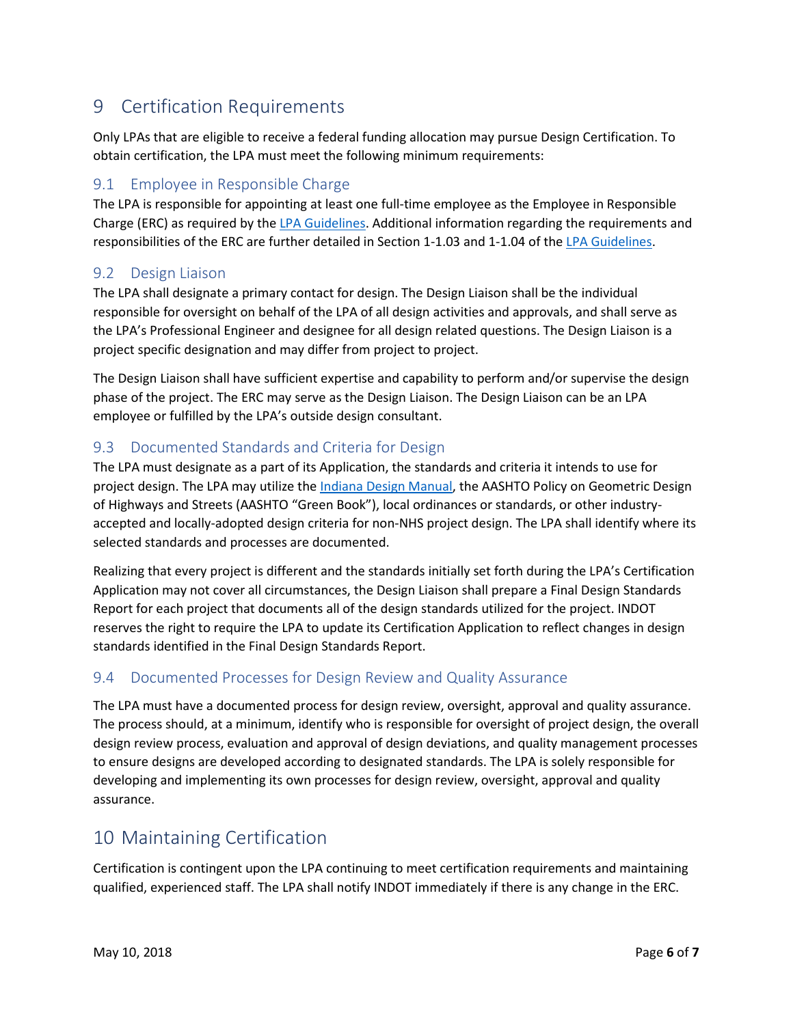# 9 Certification Requirements

Only LPAs that are eligible to receive a federal funding allocation may pursue Design Certification. To obtain certification, the LPA must meet the following minimum requirements:

#### 9.1 Employee in Responsible Charge

The LPA is responsible for appointing at least one full-time employee as the Employee in Responsible Charge (ERC) as required by the [LPA Guidelines.](http://www.in.gov/indot/files/LPA%20Guidance%20Document.pdf) Additional information regarding the requirements and responsibilities of the ERC are further detailed in Section 1-1.03 and 1-1.04 of the [LPA Guidelines.](http://www.in.gov/indot/files/LPA%20Guidance%20Document.pdf)

#### 9.2 Design Liaison

The LPA shall designate a primary contact for design. The Design Liaison shall be the individual responsible for oversight on behalf of the LPA of all design activities and approvals, and shall serve as the LPA's Professional Engineer and designee for all design related questions. The Design Liaison is a project specific designation and may differ from project to project.

The Design Liaison shall have sufficient expertise and capability to perform and/or supervise the design phase of the project. The ERC may serve as the Design Liaison. The Design Liaison can be an LPA employee or fulfilled by the LPA's outside design consultant.

#### 9.3 Documented Standards and Criteria for Design

The LPA must designate as a part of its Application, the standards and criteria it intends to use for project design. The LPA may utilize the [Indiana Design Manual,](http://www.in.gov/indot/design_manual/) the AASHTO Policy on Geometric Design of Highways and Streets (AASHTO "Green Book"), local ordinances or standards, or other industryaccepted and locally-adopted design criteria for non-NHS project design. The LPA shall identify where its selected standards and processes are documented.

Realizing that every project is different and the standards initially set forth during the LPA's Certification Application may not cover all circumstances, the Design Liaison shall prepare a Final Design Standards Report for each project that documents all of the design standards utilized for the project. INDOT reserves the right to require the LPA to update its Certification Application to reflect changes in design standards identified in the Final Design Standards Report.

#### 9.4 Documented Processes for Design Review and Quality Assurance

The LPA must have a documented process for design review, oversight, approval and quality assurance. The process should, at a minimum, identify who is responsible for oversight of project design, the overall design review process, evaluation and approval of design deviations, and quality management processes to ensure designs are developed according to designated standards. The LPA is solely responsible for developing and implementing its own processes for design review, oversight, approval and quality assurance.

## 10 Maintaining Certification

Certification is contingent upon the LPA continuing to meet certification requirements and maintaining qualified, experienced staff. The LPA shall notify INDOT immediately if there is any change in the ERC.